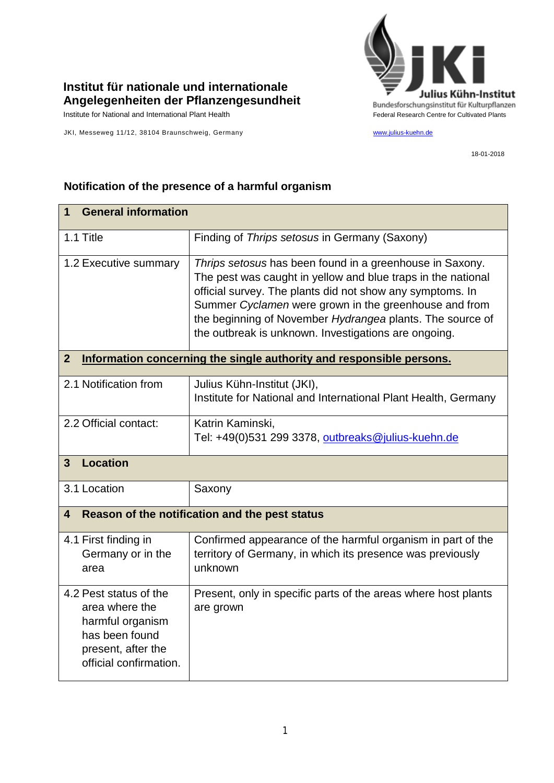

## **Institut für nationale und internationale Angelegenheiten der Pflanzengesundheit**

JKI, Messeweg 11/12, 38104 Braunschweig, Germany [www.julius-kuehn.de](http://www.julius-kuehn.de/)

18-01-2018

| <b>General information</b><br>1                                                                                                |                                                                                                                                                                                                                                                                                                                                                                     |  |
|--------------------------------------------------------------------------------------------------------------------------------|---------------------------------------------------------------------------------------------------------------------------------------------------------------------------------------------------------------------------------------------------------------------------------------------------------------------------------------------------------------------|--|
| 1.1 Title                                                                                                                      | Finding of Thrips setosus in Germany (Saxony)                                                                                                                                                                                                                                                                                                                       |  |
| 1.2 Executive summary                                                                                                          | Thrips setosus has been found in a greenhouse in Saxony.<br>The pest was caught in yellow and blue traps in the national<br>official survey. The plants did not show any symptoms. In<br>Summer Cyclamen were grown in the greenhouse and from<br>the beginning of November Hydrangea plants. The source of<br>the outbreak is unknown. Investigations are ongoing. |  |
| $\overline{2}$<br>Information concerning the single authority and responsible persons.                                         |                                                                                                                                                                                                                                                                                                                                                                     |  |
| 2.1 Notification from                                                                                                          | Julius Kühn-Institut (JKI),<br>Institute for National and International Plant Health, Germany                                                                                                                                                                                                                                                                       |  |
| 2.2 Official contact:                                                                                                          | Katrin Kaminski,<br>Tel: +49(0)531 299 3378, outbreaks@julius-kuehn.de                                                                                                                                                                                                                                                                                              |  |
| <b>Location</b><br>3                                                                                                           |                                                                                                                                                                                                                                                                                                                                                                     |  |
| 3.1 Location                                                                                                                   | Saxony                                                                                                                                                                                                                                                                                                                                                              |  |
| Reason of the notification and the pest status<br>4                                                                            |                                                                                                                                                                                                                                                                                                                                                                     |  |
| 4.1 First finding in<br>Germany or in the<br>area                                                                              | Confirmed appearance of the harmful organism in part of the<br>territory of Germany, in which its presence was previously<br>unknown                                                                                                                                                                                                                                |  |
| 4.2 Pest status of the<br>area where the<br>harmful organism<br>has been found<br>present, after the<br>official confirmation. | Present, only in specific parts of the areas where host plants<br>are grown                                                                                                                                                                                                                                                                                         |  |

## **Notification of the presence of a harmful organism**